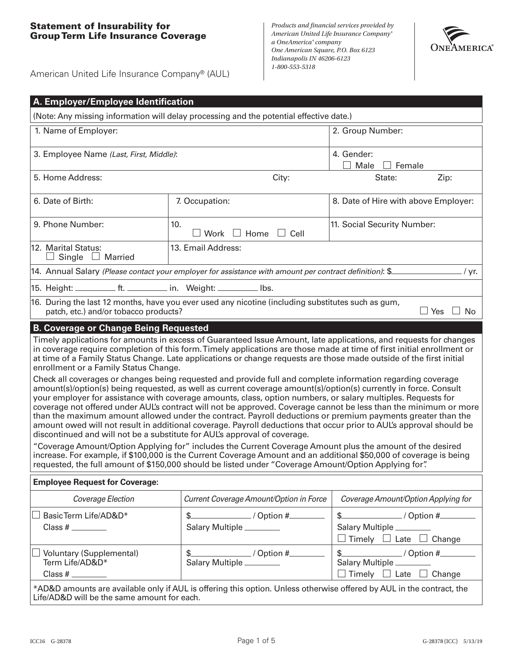## **Statement of Insurability for Group Term Life Insurance Coverage**

*Products and financial services provided by American United Life Insurance Company® a OneAmerica® company One American Square, P.O. Box 6123 Indianapolis IN 46206-6123 1-800-553-5318*



American United Life Insurance Company® (AUL)

| A. Employer/Employee Identification                                                                                                                                                                                                                                                                                                                                                                                                                                                                                                                                                                                                                                                                                                                                                                                                                                                |                                                                                                         |                                                            |  |  |  |  |  |
|------------------------------------------------------------------------------------------------------------------------------------------------------------------------------------------------------------------------------------------------------------------------------------------------------------------------------------------------------------------------------------------------------------------------------------------------------------------------------------------------------------------------------------------------------------------------------------------------------------------------------------------------------------------------------------------------------------------------------------------------------------------------------------------------------------------------------------------------------------------------------------|---------------------------------------------------------------------------------------------------------|------------------------------------------------------------|--|--|--|--|--|
| (Note: Any missing information will delay processing and the potential effective date.)                                                                                                                                                                                                                                                                                                                                                                                                                                                                                                                                                                                                                                                                                                                                                                                            |                                                                                                         |                                                            |  |  |  |  |  |
| 1. Name of Employer:                                                                                                                                                                                                                                                                                                                                                                                                                                                                                                                                                                                                                                                                                                                                                                                                                                                               | 2. Group Number:                                                                                        |                                                            |  |  |  |  |  |
| 3. Employee Name (Last, First, Middle):                                                                                                                                                                                                                                                                                                                                                                                                                                                                                                                                                                                                                                                                                                                                                                                                                                            | 4. Gender:<br>$\Box$ Female<br>$\blacksquare$<br>Male                                                   |                                                            |  |  |  |  |  |
| 5. Home Address:                                                                                                                                                                                                                                                                                                                                                                                                                                                                                                                                                                                                                                                                                                                                                                                                                                                                   | City:                                                                                                   | State:<br>Zip:                                             |  |  |  |  |  |
| 6. Date of Birth:                                                                                                                                                                                                                                                                                                                                                                                                                                                                                                                                                                                                                                                                                                                                                                                                                                                                  | 7. Occupation:                                                                                          | 8. Date of Hire with above Employer:                       |  |  |  |  |  |
| 9. Phone Number:                                                                                                                                                                                                                                                                                                                                                                                                                                                                                                                                                                                                                                                                                                                                                                                                                                                                   | 10.<br>Work $\Box$ Home $\Box$ Cell                                                                     | 11. Social Security Number:                                |  |  |  |  |  |
| 12. Marital Status:<br>□ Married<br>Single                                                                                                                                                                                                                                                                                                                                                                                                                                                                                                                                                                                                                                                                                                                                                                                                                                         | 13. Email Address:                                                                                      |                                                            |  |  |  |  |  |
|                                                                                                                                                                                                                                                                                                                                                                                                                                                                                                                                                                                                                                                                                                                                                                                                                                                                                    | 14. Annual Salary (Please contact your employer for assistance with amount per contract definition): \$ | / yr.                                                      |  |  |  |  |  |
| 15. Height: ____________ ft. ___________ in. Weight: __________ Ibs.                                                                                                                                                                                                                                                                                                                                                                                                                                                                                                                                                                                                                                                                                                                                                                                                               |                                                                                                         |                                                            |  |  |  |  |  |
| 16. During the last 12 months, have you ever used any nicotine (including substitutes such as gum,<br>patch, etc.) and/or tobacco products?<br>$\Box$ Yes<br>$\Box$ No                                                                                                                                                                                                                                                                                                                                                                                                                                                                                                                                                                                                                                                                                                             |                                                                                                         |                                                            |  |  |  |  |  |
| <b>B. Coverage or Change Being Requested</b>                                                                                                                                                                                                                                                                                                                                                                                                                                                                                                                                                                                                                                                                                                                                                                                                                                       |                                                                                                         |                                                            |  |  |  |  |  |
| Timely applications for amounts in excess of Guaranteed Issue Amount, late applications, and requests for changes<br>in coverage require completion of this form. Timely applications are those made at time of first initial enrollment or<br>at time of a Family Status Change. Late applications or change requests are those made outside of the first initial<br>enrollment or a Family Status Change.<br>Check all coverages or changes being requested and provide full and complete information regarding coverage<br>amount(s)/option(s) being requested, as well as current coverage amount(s)/option(s) currently in force. Consult<br>your employer for assistance with coverage amounts, class, option numbers, or salary multiples. Requests for<br>coverage not offered under AUL's contract will not be approved. Coverage cannot be less than the minimum or more |                                                                                                         |                                                            |  |  |  |  |  |
| than the maximum amount allowed under the contract. Payroll deductions or premium payments greater than the<br>amount owed will not result in additional coverage. Payroll deductions that occur prior to AUL's approval should be<br>discontinued and will not be a substitute for AUL's approval of coverage.                                                                                                                                                                                                                                                                                                                                                                                                                                                                                                                                                                    |                                                                                                         |                                                            |  |  |  |  |  |
| "Coverage Amount/Option Applying for" includes the Current Coverage Amount plus the amount of the desired<br>increase. For example, if \$100,000 is the Current Coverage Amount and an additional \$50,000 of coverage is being<br>requested, the full amount of \$150,000 should be listed under "Coverage Amount/Option Applying for".                                                                                                                                                                                                                                                                                                                                                                                                                                                                                                                                           |                                                                                                         |                                                            |  |  |  |  |  |
| <b>Employee Request for Coverage:</b>                                                                                                                                                                                                                                                                                                                                                                                                                                                                                                                                                                                                                                                                                                                                                                                                                                              |                                                                                                         |                                                            |  |  |  |  |  |
| Coverage Election                                                                                                                                                                                                                                                                                                                                                                                                                                                                                                                                                                                                                                                                                                                                                                                                                                                                  | Current Coverage Amount/Option in Force                                                                 | Coverage Amount/Option Applying for                        |  |  |  |  |  |
| BasicTerm Life/AD&D*                                                                                                                                                                                                                                                                                                                                                                                                                                                                                                                                                                                                                                                                                                                                                                                                                                                               | $\frac{1}{2}$ / Option #                                                                                | $\frac{1}{2}$ / Option #                                   |  |  |  |  |  |
|                                                                                                                                                                                                                                                                                                                                                                                                                                                                                                                                                                                                                                                                                                                                                                                                                                                                                    | Salary Multiple ________                                                                                | Salary Multiple<br>$\Box$ Timely $\Box$ Late $\Box$ Change |  |  |  |  |  |
| <b>Voluntary (Supplemental)</b><br>Term Life/AD&D*                                                                                                                                                                                                                                                                                                                                                                                                                                                                                                                                                                                                                                                                                                                                                                                                                                 | \$<br>$\frac{1}{\sqrt{2\pi}}$ / Option #<br>Salary Multiple                                             | $\frac{1}{2}$ / Option #<br>Salary Multiple                |  |  |  |  |  |
| Class #                                                                                                                                                                                                                                                                                                                                                                                                                                                                                                                                                                                                                                                                                                                                                                                                                                                                            |                                                                                                         | $\Box$ Timely $\Box$ Late $\Box$ Change                    |  |  |  |  |  |
| *AD&D amounts are available only if AUL is offering this option. Unless otherwise offered by AUL in the contract, the<br>Life/AD&D will be the same amount for each.                                                                                                                                                                                                                                                                                                                                                                                                                                                                                                                                                                                                                                                                                                               |                                                                                                         |                                                            |  |  |  |  |  |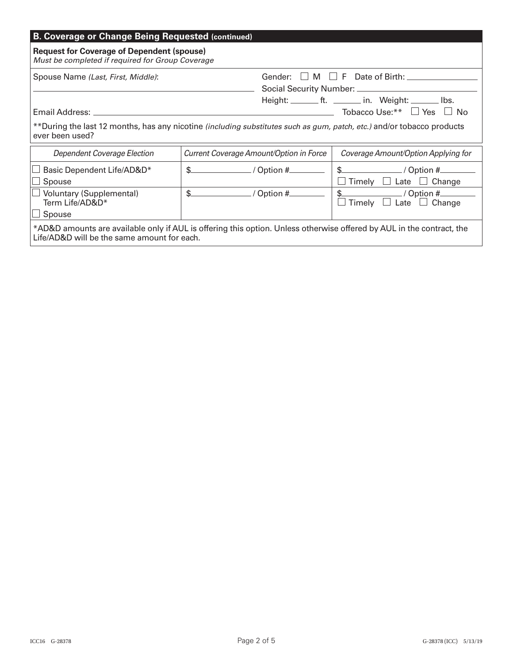| <b>B. Coverage or Change Being Requested (continued)</b>                                                                                                                                                                                                                   |                                         |                                                  |  |  |  |  |  |  |
|----------------------------------------------------------------------------------------------------------------------------------------------------------------------------------------------------------------------------------------------------------------------------|-----------------------------------------|--------------------------------------------------|--|--|--|--|--|--|
| <b>Request for Coverage of Dependent (spouse)</b><br>Must be completed if required for Group Coverage                                                                                                                                                                      |                                         |                                                  |  |  |  |  |  |  |
| Spouse Name (Last, First, Middle):                                                                                                                                                                                                                                         |                                         | Gender: $\Box$ M $\Box$ F Date of Birth: $\Box$  |  |  |  |  |  |  |
| Height: ________ ft. ________ in. Weight: _______ lbs.<br>───── Tobacco Use:** $\Box$ Yes<br>Email Address:<br>$\perp$<br>No.<br>**During the last 12 months, has any nicotine (including substitutes such as gum, patch, etc.) and/or tobacco products<br>ever been used? |                                         |                                                  |  |  |  |  |  |  |
|                                                                                                                                                                                                                                                                            |                                         |                                                  |  |  |  |  |  |  |
| Dependent Coverage Election                                                                                                                                                                                                                                                | Current Coverage Amount/Option in Force | Coverage Amount/Option Applying for              |  |  |  |  |  |  |
| Basic Dependent Life/AD&D*                                                                                                                                                                                                                                                 | \$.                                     | $$$ / Option #                                   |  |  |  |  |  |  |
| Spouse                                                                                                                                                                                                                                                                     |                                         | Timely $\Box$ Late $\Box$ Change                 |  |  |  |  |  |  |
| <b>Voluntary (Supplemental)</b><br>Term Life/AD&D*<br>Spouse                                                                                                                                                                                                               | \$<br>/ Option #_                       | / Option #___<br>Change<br>Late $\Box$<br>Timely |  |  |  |  |  |  |
| *AD&D amounts are available only if AUL is offering this option. Unless otherwise offered by AUL in the contract, the<br>Life/AD&D will be the same amount for each.                                                                                                       |                                         |                                                  |  |  |  |  |  |  |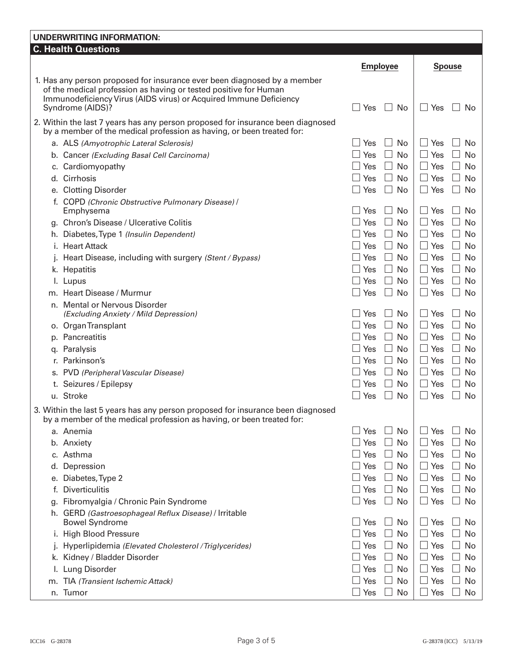## **UNDERWRITING INFORMATION: C. Health Questions Employee Spouse Spouse** Spouse Spouse Spouse Spouse Spouse Spouse Spouse Spouse Spouse Spouse Spouse Spouse Spouse Spouse Spouse Spouse Spouse Spouse Spouse Spouse Spouse Spouse Spouse Spouse Spouse Spouse Spouse Spouse S 1. Has any person proposed for insurance ever been diagnosed by a member of the medical profession as having or tested positive for Human Immunodeficiency Virus (AIDS virus) or Acquired Immune Deficiency Syndrome (AIDS)? Syndrome (AIDS)? 2. Within the last 7 years has any person proposed for insurance been diagnosed by a member of the medical profession as having, or been treated for: a. ALS *(Amyotrophic Lateral Sclerosis)*  $\Box$  Yes  $\Box$  No  $\Box$  Yes  $\Box$  No No b. Cancer *(Excluding Basal Cell Carcinoma)*  $\Box$  Yes  $\Box$  No  $\Box$  Yes  $\Box$  No No c. Cardiomyopathy  $\Box$  Yes  $\Box$  No  $\Box$  Yes  $\Box$  No d. Cirrhosis Yes No Yes No e. Clotting Disorder  $\square$  Yes  $\square$  No  $\square$  Yes  $\square$  No  $\square$  Yes  $\square$  No f. COPD *(Chronic Obstructive Pulmonary Disease)* / Emphysema Yes No Yes No q. Chron's Disease / Ulcerative Colitis  $\Box$  Yes  $\Box$  No  $\Box$  Yes  $\Box$  No  $\Box$  Yes  $\Box$  No h. Diabetes, Type 1 *(Insulin Dependent)* and the set of the set of the set of No | ∴ Yes No No No No No No No No i. Heart Attack  $\Box$  Yes  $\Box$  No  $\Box$  Yes  $\Box$  No  $\Box$  Yes  $\Box$  No j. Heart Disease, including with surgery *(Stent / Bypass)*  $\Box$  Yes  $\Box$  No  $\Box$  Yes  $\Box$  No k. Hepatitis Yes No Yes No l. Lupus Yes No Yes No m. Heart Disease / Murmur  $\square$  Yes  $\square$  No  $\square$  Yes  $\square$  No  $\square$  Yes  $\square$  No n. Mental or Nervous Disorder *(Excluding Anxiety / Mild Depression)* and  $\Box$  Yes  $\Box$  No  $\Box$  Yes  $\Box$  No No o. Organ Transplant  $\Box$  Yes  $\Box$  No  $\Box$  Yes  $\Box$  No  $\Box$  Yes  $\Box$  No p. Pancreatitis  $\square$  Yes  $\square$  No  $\square$  Yes  $\square$  No  $\square$  Yes  $\square$  No q. Paralysis Yes No Yes No Yes No Yes No Yes No Yes No Yes No Yes No Yes No Yes No Yes No Yes No Yes No Yes No r. Parkinson's  $\Box$  Yes  $\Box$  No  $\Box$  Yes  $\Box$  No  $\Box$  Yes  $\Box$  No s. PVD *(Peripheral Vascular Disease)*  $\Box$  Yes  $\Box$  No  $\Box$  Yes  $\Box$  No No t. Seizures / Epilepsy Yes □ No Yes □ No Yes □ No Yes □ No u. Stroke  $\Box$  Yes  $\Box$  No  $\Box$  Yes  $\Box$  No  $\Box$  Yes  $\Box$  No 3. Within the last 5 years has any person proposed for insurance been diagnosed by a member of the medical profession as having, or been treated for: a. Anemia Yes No Yes No b. Anxiety Yes No Yes No c. Asthma Yes No Yes No Yes No Yes No Yes No Yes No Yes No Yes No Yes No Yes No Yes No Yes No Yes No Yes No Yes d. Depression  $\Box$  Yes  $\Box$  No  $\Box$  Yes  $\Box$  No  $\Box$  Yes  $\Box$  No e. Diabetes, Type 2  $\Box$  Yes  $\Box$  No  $\Box$  Yes  $\Box$  No  $\Box$  Yes  $\Box$  No f. Diverticulitis  $\Box$  Yes  $\Box$  No  $\Box$  Yes  $\Box$  No  $\Box$  Yes  $\Box$  No g. Fibromyalgia / Chronic Pain Syndrome  $\Box$  Yes  $\Box$  No  $\Box$  Yes  $\Box$  No  $\Box$  Yes  $\Box$  No h. GERD *(Gastroesophageal Reflux Disease)* / Irritable Bowel Syndrome  $\Box$  Yes  $\Box$  No  $\Box$  Yes  $\Box$  No Yes  $\Box$  No i. High Blood Pressure  $\Box$  Yes  $\Box$  No  $\Box$  Yes  $\Box$  No  $\Box$  Yes  $\Box$  No j. Hyperlipidemia *(Elevated Cholesterol / Triglycerides)*  $\Box$  Yes  $\Box$  No  $\Box$  Yes  $\Box$  No k. Kidney / Bladder Disorder  $\Box$  Yes  $\Box$  No  $\Box$  Yes  $\Box$  No Yes  $\Box$  No l. Lung Disorder  $\square$  Yes  $\square$  No  $\square$  Yes  $\square$  No  $\square$  Yes  $\square$  No m. TIA *(Transient Ischemic Attack)*  $\Box$  Yes  $\Box$  No  $\Box$  Yes  $\Box$  No  $\Box$  Yes  $\Box$  No n. Tumor Yes No Yes No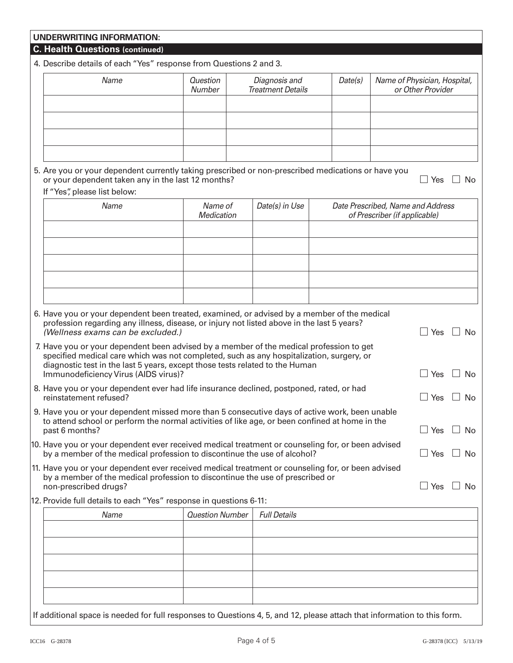| 4. Describe details of each "Yes" response from Questions 2 and 3.                                                                                                                                                             |                                                                                          |                     |  |                                                                    |                     |                                       |  |
|--------------------------------------------------------------------------------------------------------------------------------------------------------------------------------------------------------------------------------|------------------------------------------------------------------------------------------|---------------------|--|--------------------------------------------------------------------|---------------------|---------------------------------------|--|
| Name                                                                                                                                                                                                                           | <b>Question</b><br>Diagnosis and<br>Date(s)<br><b>Treatment Details</b><br>Number        |                     |  | Name of Physician, Hospital,<br>or Other Provider                  |                     |                                       |  |
|                                                                                                                                                                                                                                |                                                                                          |                     |  |                                                                    |                     |                                       |  |
| 5. Are you or your dependent currently taking prescribed or non-prescribed medications or have you<br>or your dependent taken any in the last 12 months?<br>If "Yes", please list below:                                       |                                                                                          |                     |  |                                                                    | $\Box$ Yes          | <b>No</b>                             |  |
| Name                                                                                                                                                                                                                           | Name of<br>Medication                                                                    | Date(s) in Use      |  | Date Prescribed, Name and Address<br>of Prescriber (if applicable) |                     |                                       |  |
|                                                                                                                                                                                                                                |                                                                                          |                     |  |                                                                    |                     |                                       |  |
|                                                                                                                                                                                                                                |                                                                                          |                     |  |                                                                    |                     |                                       |  |
|                                                                                                                                                                                                                                |                                                                                          |                     |  |                                                                    |                     |                                       |  |
|                                                                                                                                                                                                                                |                                                                                          |                     |  |                                                                    |                     |                                       |  |
| 6. Have you or your dependent been treated, examined, or advised by a member of the medical<br>profession regarding any illness, disease, or injury not listed above in the last 5 years?<br>(Wellness exams can be excluded.) |                                                                                          |                     |  |                                                                    | $\Box$ Yes          | $\Box$ No                             |  |
| 7. Have you or your dependent been advised by a member of the medical profession to get                                                                                                                                        |                                                                                          |                     |  |                                                                    |                     |                                       |  |
| diagnostic test in the last 5 years, except those tests related to the Human                                                                                                                                                   | specified medical care which was not completed, such as any hospitalization, surgery, or |                     |  |                                                                    | $\Box$ Yes          |                                       |  |
| Immunodeficiency Virus (AIDS virus)?<br>8. Have you or your dependent ever had life insurance declined, postponed, rated, or had<br>reinstatement refused?                                                                     |                                                                                          |                     |  |                                                                    | $\mathbb{R}$<br>Yes |                                       |  |
| 9. Have you or your dependent missed more than 5 consecutive days of active work, been unable<br>to attend school or perform the normal activities of like age, or been confined at home in the<br>past 6 months?              |                                                                                          |                     |  |                                                                    | $\Box$<br>Yes       |                                       |  |
| 10. Have you or your dependent ever received medical treatment or counseling for, or been advised<br>by a member of the medical profession to discontinue the use of alcohol?                                                  |                                                                                          |                     |  |                                                                    | $\Box$ Yes          |                                       |  |
| 11. Have you or your dependent ever received medical treatment or counseling for, or been advised<br>by a member of the medical profession to discontinue the use of prescribed or<br>non-prescribed drugs?                    |                                                                                          |                     |  |                                                                    | Yes                 |                                       |  |
| 12. Provide full details to each "Yes" response in questions 6-11:                                                                                                                                                             |                                                                                          |                     |  |                                                                    |                     |                                       |  |
| Name                                                                                                                                                                                                                           | <b>Question Number</b>                                                                   | <b>Full Details</b> |  |                                                                    |                     | No<br>No<br>$\Box$ No<br>∣ I No<br>No |  |
|                                                                                                                                                                                                                                |                                                                                          |                     |  |                                                                    |                     |                                       |  |
|                                                                                                                                                                                                                                |                                                                                          |                     |  |                                                                    |                     |                                       |  |